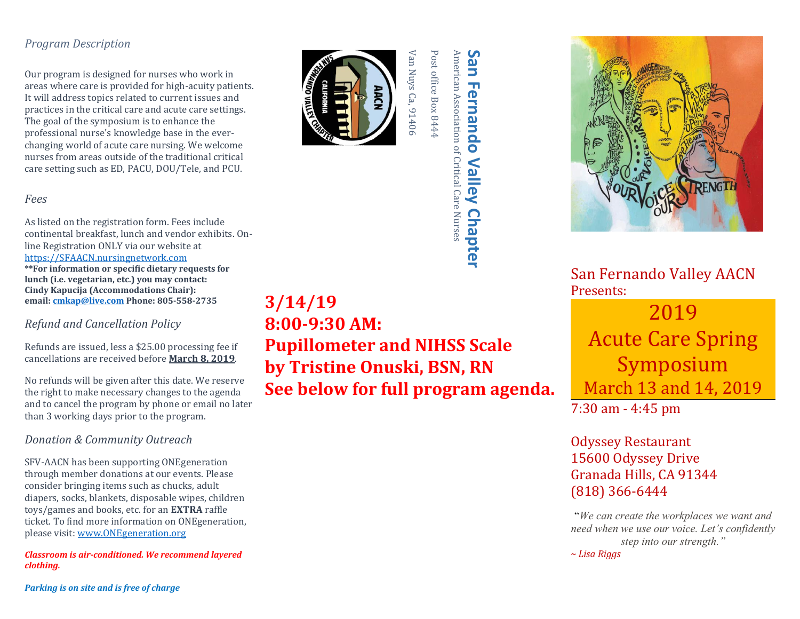## *Program Description*

Our program is designed for nurses who work in areas where care is provided for high-acuity patients. It will address topics related to current issues and practices in the critical care and acute care settings. The goal of the symposium is to enhance the professional nurse's knowledge base in the everchanging world of acute care nursing. We welcome nurses from areas outside of the traditional critical care setting such as ED, PACU, DOU/Tele, and PCU.

## *Fees*

As listed on the registration form. Fees include continental breakfast, lunch and vendor exhibits. Online Registration ONLY via our website at [https://SFAACN.nursingnetwork.com](https://sfaacn.nursingnetwork.com/)  **\*\*For information or specific dietary requests for lunch (i.e. vegetarian, etc.) you may contact: Cindy Kapucija (Accommodations Chair): email[: cmkap@live.com](mailto:cmkap@live.com) Phone: 805-558-2735**

## *Refund and Cancellation Policy*

Refunds are issued, less a \$25.00 processing fee if cancellations are received before **March 8, 2019**.

No refunds will be given after this date. We reserve the right to make necessary changes to the agenda and to cancel the program by phone or email no later than 3 working days prior to the program.

## *Donation & Community Outreach*

SFV-AACN has been supporting ONEgeneration through member donations at our events. Please consider bringing items such as chucks, adult diapers, socks, blankets, disposable wipes, children toys/games and books, etc. for an **EXTRA** raffle ticket. To find more information on ONEgeneration, please visit: [www.ONEgeneration.org](http://www.onegeneration.org/)

*Classroom is air-conditioned. We recommend layered clothing.*

*Parking is on site and is free of charge*



**3/14/19**

**8:00-9:30 AM:** 

**Pupillometer and NIHSS Scale**

**See below for full program agenda.**

**by Tristine Onuski, BSN, RN**

Post office Box 8444 Post office Box 8444

American Association of Critical Care Nurses

**San Fernando Valley Chapter** erican Association of Critical Care Nurses

Valley

**Chapter** 

**Fernando** 

Sa

5



San Fernando Valley AACN Presents:

**Acute Care Spring** 2019 Symposium March 13 and 14, 2019

7:30 am - 4:45 pm

Odyssey Restaurant 15600 Odyssey Drive Granada Hills, CA 91344 (818) 366-6444

*We can create the workplaces we want and*  $\frac{1}{2}$  and  $\frac{1}{2}$  and  $\frac{1}{2}$  and  $\frac{1}{2}$  and  $\frac{1}{2}$  and  $\frac{1}{2}$  and  $\frac{1}{2}$  and  $\frac{1}{2}$  and  $\frac{1}{2}$  and  $\frac{1}{2}$  and  $\frac{1}{2}$  and  $\frac{1}{2}$  and  $\frac{1}{2}$  a *need when we use our voice. Let's confidently step into our strength." ~ Lisa Riggs*